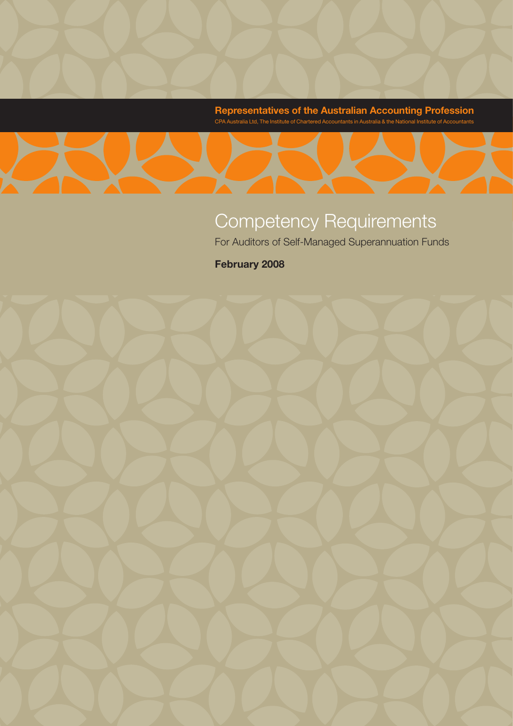**Representatives of the Australian Accounting Profession** CPA Australia Ltd, The Institute of Chartered Accountants in Australia & the National Institute of Accountants

# Competency Requirements

For Auditors of Self-Managed Superannuation Funds

**February 2008**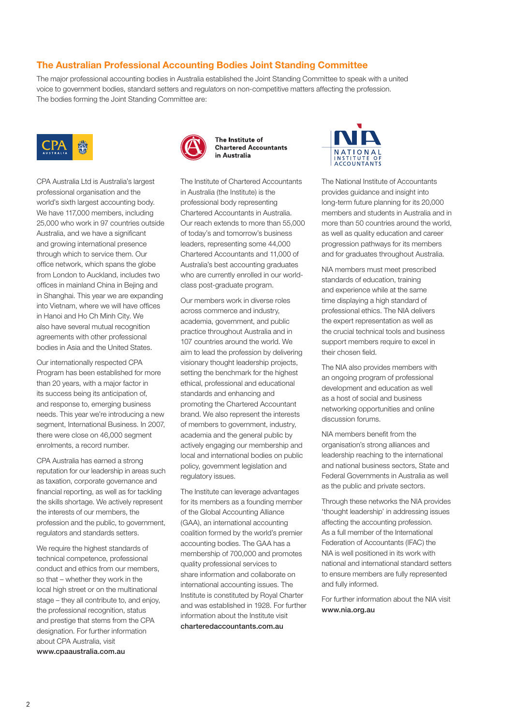#### **The Australian Professional Accounting Bodies Joint Standing Committee**

The major professional accounting bodies in Australia established the Joint Standing Committee to speak with a united voice to government bodies, standard setters and regulators on non-competitive matters affecting the profession. The bodies forming the Joint Standing Committee are:



CPA Australia Ltd is Australia's largest professional organisation and the world's sixth largest accounting body. We have 117,000 members, including 25,000 who work in 97 countries outside Australia, and we have a significant and growing international presence through which to service them. Our office network, which spans the globe from London to Auckland, includes two offices in mainland China in Bejing and in Shanghai. This year we are expanding into Vietnam, where we will have offices in Hanoi and Ho Ch Minh City. We also have several mutual recognition agreements with other professional bodies in Asia and the United States.

Our internationally respected CPA Program has been established for more than 20 years, with a major factor in its success being its anticipation of, and response to, emerging business needs. This year we're introducing a new segment, International Business. In 2007, there were close on 46,000 segment enrolments, a record number.

CPA Australia has earned a strong reputation for our leadership in areas such as taxation, corporate governance and financial reporting, as well as for tackling the skills shortage. We actively represent the interests of our members, the profession and the public, to government, regulators and standards setters.

We require the highest standards of technical competence, professional conduct and ethics from our members, so that – whether they work in the local high street or on the multinational stage – they all contribute to, and enjoy, the professional recognition, status and prestige that stems from the CPA designation. For further information about CPA Australia, visit www.cpaaustralia.com.au



The Institute of **Chartered Accountants** in Australia

The Institute of Chartered Accountants in Australia (the Institute) is the professional body representing Chartered Accountants in Australia. Our reach extends to more than 55,000 of today's and tomorrow's business leaders, representing some 44,000 Chartered Accountants and 11,000 of Australia's best accounting graduates who are currently enrolled in our worldclass post-graduate program.

Our members work in diverse roles across commerce and industry, academia, government, and public practice throughout Australia and in 107 countries around the world. We aim to lead the profession by delivering visionary thought leadership projects, setting the benchmark for the highest ethical, professional and educational standards and enhancing and promoting the Chartered Accountant brand. We also represent the interests of members to government, industry, academia and the general public by actively engaging our membership and local and international bodies on public policy, government legislation and regulatory issues.

The Institute can leverage advantages for its members as a founding member of the Global Accounting Alliance (GAA), an international accounting coalition formed by the world's premier accounting bodies. The GAA has a membership of 700,000 and promotes quality professional services to share information and collaborate on international accounting issues. The Institute is constituted by Royal Charter and was established in 1928. For further information about the Institute visit charteredaccountants.com.au



The National Institute of Accountants provides guidance and insight into long-term future planning for its 20,000 members and students in Australia and in more than 50 countries around the world, as well as quality education and career progression pathways for its members and for graduates throughout Australia.

NIA members must meet prescribed standards of education, training and experience while at the same time displaying a high standard of professional ethics. The NIA delivers the expert representation as well as the crucial technical tools and business support members require to excel in their chosen field.

The NIA also provides members with an ongoing program of professional development and education as well as a host of social and business networking opportunities and online discussion forums.

NIA members benefit from the organisation's strong alliances and leadership reaching to the international and national business sectors, State and Federal Governments in Australia as well as the public and private sectors.

Through these networks the NIA provides 'thought leadership' in addressing issues affecting the accounting profession. As a full member of the International Federation of Accountants (IFAC) the NIA is well positioned in its work with national and international standard setters to ensure members are fully represented and fully informed.

For further information about the NIA visit www.nia.org.au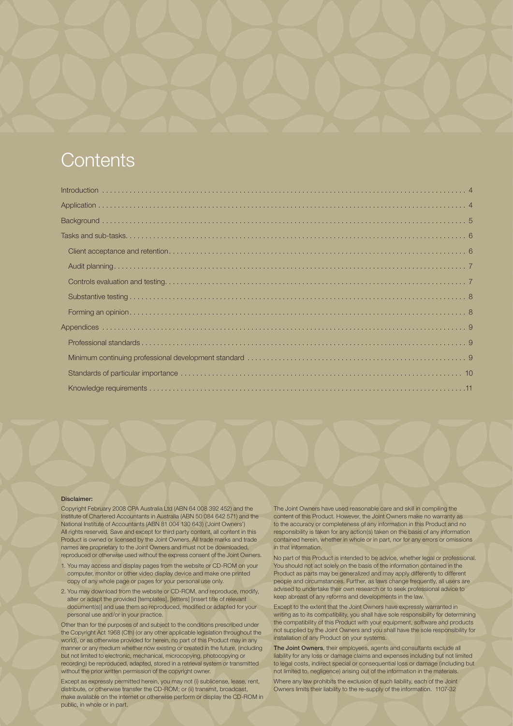## **Contents**

#### Disclaimer:

Copyright February 2008 CPA Australia Ltd (ABN 64 008 392 452) and the Institute of Chartered Accountants in Australia (ABN 50 084 642 571) and the National Institute of Accountants (ABN 81 004 130 643) ('Joint Owners') All rights reserved. Save and except for third party content, all content in this Product is owned or licensed by the Joint Owners. All trade marks and trade names are proprietary to the Joint Owners and must not be downloaded, reproduced or otherwise used without the express consent of the Joint Owners.

- 1. You may access and display pages from the website or CD-ROM on your computer, monitor or other video display device and make one printed copy of any whole page or pages for your personal use only.
- 2. You may download from the website or CD-ROM, and reproduce, modify, alter or adapt the provided [templates], [letters] [insert title of relevant document(s)] and use them so reproduced, modified or adapted for your personal use and/or in your practice.

Other than for the purposes of and subject to the conditions prescribed under the Copyright Act 1968 (Cth) (or any other applicable legislation throughout the world), or as otherwise provided for herein, no part of this Product may in any manner or any medium whether now existing or created in the future, (including but not limited to electronic, mechanical, microcopying, photocopying or recording) be reproduced, adapted, stored in a retrieval system or transmitted without the prior written permission of the copyright owner.

make available on the internet or otherwise perform or display the CD-ROM in © The Australian Professional Accounting Bodies Joint Standing Committee public, in whole or in part. Except as expressly permitted herein, you may not (i) sublicense, lease, rent, distribute, or otherwise transfer the CD-ROM; or (ii) transmit, broadcast,

The Joint Owners have used reasonable care and skill in compiling the content of this Product. However, the Joint Owners make no warranty as to the accuracy or completeness of any information in this Product and no responsibility is taken for any action(s) taken on the basis of any information contained herein, whether in whole or in part, nor for any errors or omissions in that information.

No part of this Product is intended to be advice, whether legal or professional. You should not act solely on the basis of the information contained in the Product as parts may be generalized and may apply differently to different people and circumstances. Further, as laws change frequently, all users are advised to undertake their own research or to seek professional advice to keep abreast of any reforms and developments in the law.

Except to the extent that the Joint Owners have expressly warranted in writing as to its compatibility, you shall have sole responsibility for determining the compatibility of this Product with your equipment, software and products not supplied by the Joint Owners and you shall have the sole responsibility for installation of any Product on your systems.

The Joint Owners, their employees, agents and consultants exclude all liability for any loss or damage claims and expenses including but not limited to legal costs, indirect special or consequential loss or damage (including but not limited to, negligence) arising out of the information in the materials.

Where any law prohibits the exclusion of such liability, each of the Joint Owners limits their liability to the re-supply of the information. 1107-32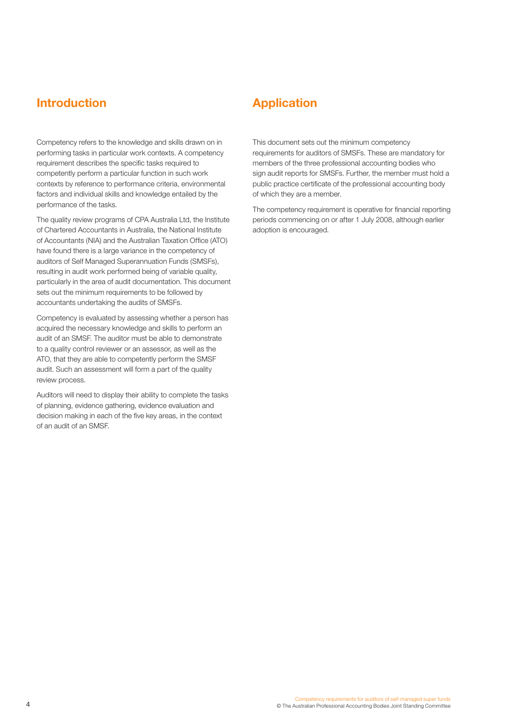## **Introduction Application**

Competency refers to the knowledge and skills drawn on in performing tasks in particular work contexts. A competency requirement describes the specific tasks required to competently perform a particular function in such work contexts by reference to performance criteria, environmental factors and individual skills and knowledge entailed by the performance of the tasks.

The quality review programs of CPA Australia Ltd, the Institute of Chartered Accountants in Australia, the National Institute of Accountants (NIA) and the Australian Taxation Office (ATO) have found there is a large variance in the competency of auditors of Self Managed Superannuation Funds (SMSFs), resulting in audit work performed being of variable quality, particularly in the area of audit documentation. This document sets out the minimum requirements to be followed by accountants undertaking the audits of SMSFs.

Competency is evaluated by assessing whether a person has acquired the necessary knowledge and skills to perform an audit of an SMSF. The auditor must be able to demonstrate to a quality control reviewer or an assessor, as well as the ATO, that they are able to competently perform the SMSF audit. Such an assessment will form a part of the quality review process.

Auditors will need to display their ability to complete the tasks of planning, evidence gathering, evidence evaluation and decision making in each of the five key areas, in the context of an audit of an SMSF.

This document sets out the minimum competency requirements for auditors of SMSFs. These are mandatory for members of the three professional accounting bodies who sign audit reports for SMSFs. Further, the member must hold a public practice certificate of the professional accounting body of which they are a member.

The competency requirement is operative for financial reporting periods commencing on or after 1 July 2008, although earlier adoption is encouraged.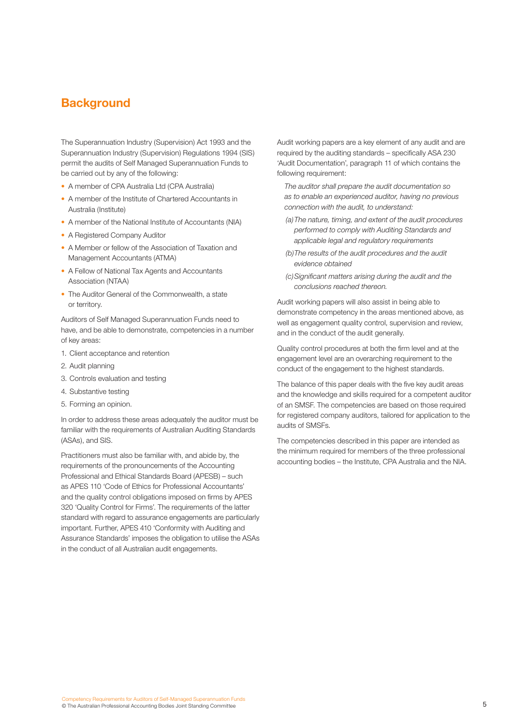## **Background**

The Superannuation Industry (Supervision) Act 1993 and the Superannuation Industry (Supervision) Regulations 1994 (SIS) permit the audits of Self Managed Superannuation Funds to be carried out by any of the following:

- A member of CPA Australia Ltd (CPA Australia)
- A member of the Institute of Chartered Accountants in Australia (Institute)
- A member of the National Institute of Accountants (NIA)
- A Registered Company Auditor
- A Member or fellow of the Association of Taxation and Management Accountants (ATMA)
- A Fellow of National Tax Agents and Accountants Association (NTAA)
- The Auditor General of the Commonwealth, a state or territory.

Auditors of Self Managed Superannuation Funds need to have, and be able to demonstrate, competencies in a number of key areas:

- 1. Client acceptance and retention
- 2. Audit planning
- 3. Controls evaluation and testing
- 4. Substantive testing
- 5. Forming an opinion.

In order to address these areas adequately the auditor must be familiar with the requirements of Australian Auditing Standards (ASAs), and SIS.

Practitioners must also be familiar with, and abide by, the requirements of the pronouncements of the Accounting Professional and Ethical Standards Board (APESB) – such as APES 110 'Code of Ethics for Professional Accountants' and the quality control obligations imposed on firms by APES 320 'Quality Control for Firms'. The requirements of the latter standard with regard to assurance engagements are particularly important. Further, APES 410 'Conformity with Auditing and Assurance Standards' imposes the obligation to utilise the ASAs in the conduct of all Australian audit engagements.

Audit working papers are a key element of any audit and are required by the auditing standards – specifically ASA 230 'Audit Documentation', paragraph 11 of which contains the following requirement:

*The auditor shall prepare the audit documentation so as to enable an experienced auditor, having no previous connection with the audit, to understand:*

- *(a)The nature, timing, and extent of the audit procedures performed to comply with Auditing Standards and applicable legal and regulatory requirements*
- *(b)The results of the audit procedures and the audit evidence obtained*
- *(c)Significant matters arising during the audit and the conclusions reached thereon.*

Audit working papers will also assist in being able to demonstrate competency in the areas mentioned above, as well as engagement quality control, supervision and review, and in the conduct of the audit generally.

Quality control procedures at both the firm level and at the engagement level are an overarching requirement to the conduct of the engagement to the highest standards.

The balance of this paper deals with the five key audit areas and the knowledge and skills required for a competent auditor of an SMSF. The competencies are based on those required for registered company auditors, tailored for application to the audits of SMSFs.

The competencies described in this paper are intended as the minimum required for members of the three professional accounting bodies – the Institute, CPA Australia and the NIA.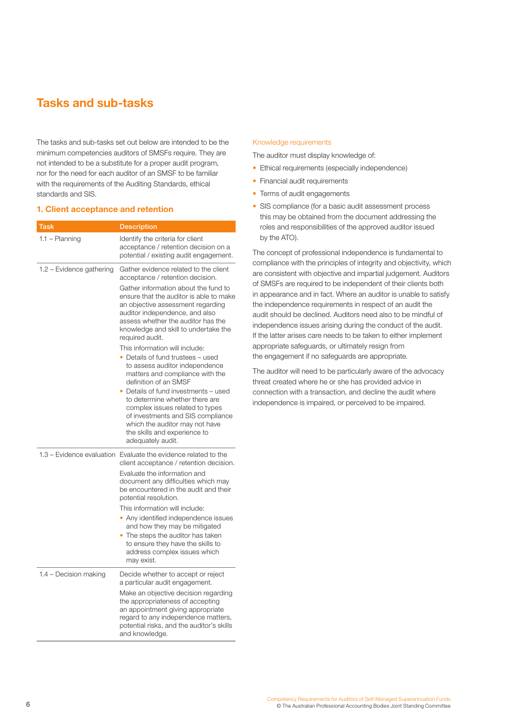## **Tasks and sub-tasks**

The tasks and sub-tasks set out below are intended to be the minimum competencies auditors of SMSFs require. They are not intended to be a substitute for a proper audit program, nor for the need for each auditor of an SMSF to be familiar with the requirements of the Auditing Standards, ethical standards and SIS.

#### **1. Client acceptance and retention**

| <b>Task</b>               | <b>Description</b>                                                                                                                                                                                                                                                                                                                                                                                                                                                                                                                                |
|---------------------------|---------------------------------------------------------------------------------------------------------------------------------------------------------------------------------------------------------------------------------------------------------------------------------------------------------------------------------------------------------------------------------------------------------------------------------------------------------------------------------------------------------------------------------------------------|
| $1.1 -$ Planning          | Identify the criteria for client<br>acceptance / retention decision on a<br>potential / existing audit engagement.                                                                                                                                                                                                                                                                                                                                                                                                                                |
| 1.2 - Evidence gathering  | Gather evidence related to the client<br>acceptance / retention decision.<br>Gather information about the fund to<br>ensure that the auditor is able to make<br>an objective assessment regarding<br>auditor independence, and also<br>assess whether the auditor has the<br>knowledge and skill to undertake the<br>required audit.<br>This information will include:<br>• Details of fund trustees - used<br>to assess auditor independence<br>matters and compliance with the<br>definition of an SMSF<br>• Details of fund investments - used |
|                           | to determine whether there are<br>complex issues related to types<br>of investments and SIS compliance<br>which the auditor may not have<br>the skills and experience to<br>adequately audit.                                                                                                                                                                                                                                                                                                                                                     |
| 1.3 - Evidence evaluation | Evaluate the evidence related to the<br>client acceptance / retention decision.                                                                                                                                                                                                                                                                                                                                                                                                                                                                   |
|                           | Evaluate the information and<br>document any difficulties which may<br>be encountered in the audit and their<br>potential resolution.                                                                                                                                                                                                                                                                                                                                                                                                             |
|                           | This information will include:<br>• Any identified independence issues<br>and how they may be mitigated<br>• The steps the auditor has taken<br>to ensure they have the skills to<br>address complex issues which<br>may exist.                                                                                                                                                                                                                                                                                                                   |
| 1.4 – Decision making     | Decide whether to accept or reject<br>a particular audit engagement.                                                                                                                                                                                                                                                                                                                                                                                                                                                                              |
|                           | Make an objective decision regarding<br>the appropriateness of accepting<br>an appointment giving appropriate<br>regard to any independence matters,<br>potential risks, and the auditor's skills<br>and knowledge.                                                                                                                                                                                                                                                                                                                               |

#### Knowledge requirements

The auditor must display knowledge of:

- Ethical requirements (especially independence)
- Financial audit requirements
- Terms of audit engagements
- SIS compliance (for a basic audit assessment process this may be obtained from the document addressing the roles and responsibilities of the approved auditor issued by the ATO).

The concept of professional independence is fundamental to compliance with the principles of integrity and objectivity, which are consistent with objective and impartial judgement. Auditors of SMSFs are required to be independent of their clients both in appearance and in fact. Where an auditor is unable to satisfy the independence requirements in respect of an audit the audit should be declined. Auditors need also to be mindful of independence issues arising during the conduct of the audit. If the latter arises care needs to be taken to either implement appropriate safeguards, or ultimately resign from the engagement if no safeguards are appropriate.

The auditor will need to be particularly aware of the advocacy threat created where he or she has provided advice in connection with a transaction, and decline the audit where independence is impaired, or perceived to be impaired.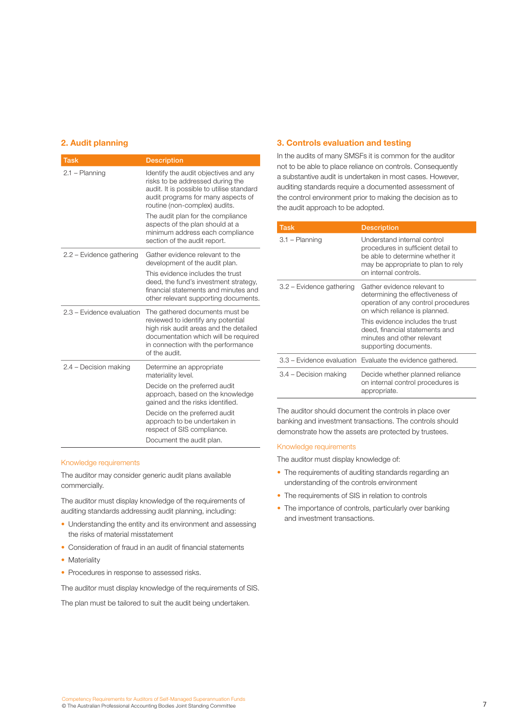#### **2. Audit planning**

| <b>Task</b>               | <b>Description</b>                                                                                                                                                                                                                                                                                                                       |
|---------------------------|------------------------------------------------------------------------------------------------------------------------------------------------------------------------------------------------------------------------------------------------------------------------------------------------------------------------------------------|
| 2.1 - Planning            | Identify the audit objectives and any<br>risks to be addressed during the<br>audit. It is possible to utilise standard<br>audit programs for many aspects of<br>routine (non-complex) audits.<br>The audit plan for the compliance<br>aspects of the plan should at a<br>minimum address each compliance<br>section of the audit report. |
| 2.2 - Evidence gathering  | Gather evidence relevant to the<br>development of the audit plan.<br>This evidence includes the trust<br>deed, the fund's investment strategy,<br>financial statements and minutes and<br>other relevant supporting documents.                                                                                                           |
| 2.3 - Evidence evaluation | The gathered documents must be<br>reviewed to identify any potential<br>high risk audit areas and the detailed<br>documentation which will be required<br>in connection with the performance<br>of the audit.                                                                                                                            |
| 2.4 - Decision making     | Determine an appropriate<br>materiality level.<br>Decide on the preferred audit<br>approach, based on the knowledge<br>gained and the risks identified.<br>Decide on the preferred audit<br>approach to be undertaken in<br>respect of SIS compliance.<br>Document the audit plan.                                                       |

#### Knowledge requirements

The auditor may consider generic audit plans available commercially.

The auditor must display knowledge of the requirements of auditing standards addressing audit planning, including:

- Understanding the entity and its environment and assessing the risks of material misstatement
- Consideration of fraud in an audit of financial statements
- Materiality
- Procedures in response to assessed risks.

The auditor must display knowledge of the requirements of SIS.

The plan must be tailored to suit the audit being undertaken.

#### **3. Controls evaluation and testing**

In the audits of many SMSFs it is common for the auditor not to be able to place reliance on controls. Consequently a substantive audit is undertaken in most cases. However, auditing standards require a documented assessment of the control environment prior to making the decision as to the audit approach to be adopted.

| Task                     | <b>Description</b>                                                                                                                                                  |
|--------------------------|---------------------------------------------------------------------------------------------------------------------------------------------------------------------|
| 3.1 - Planning           | Understand internal control<br>procedures in sufficient detail to<br>be able to determine whether it<br>may be appropriate to plan to rely<br>on internal controls. |
| 3.2 - Evidence gathering | Gather evidence relevant to<br>determining the effectiveness of<br>operation of any control procedures<br>on which reliance is planned.                             |
|                          | This evidence includes the trust<br>deed, financial statements and<br>minutes and other relevant<br>supporting documents.                                           |
|                          | 3.3 – Evidence evaluation Evaluate the evidence gathered.                                                                                                           |
| 3.4 – Decision making    | Decide whether planned reliance<br>on internal control procedures is<br>appropriate.                                                                                |

The auditor should document the controls in place over banking and investment transactions. The controls should demonstrate how the assets are protected by trustees.

#### Knowledge requirements

The auditor must display knowledge of:

- The requirements of auditing standards regarding an understanding of the controls environment
- The requirements of SIS in relation to controls
- The importance of controls, particularly over banking and investment transactions.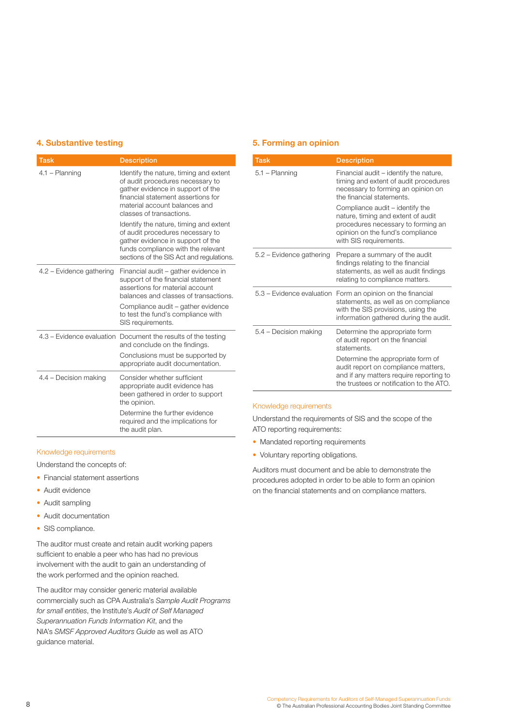### **4. Substantive testing**

| Task                     | <b>Description</b>                                                                                                                                                                                                 |
|--------------------------|--------------------------------------------------------------------------------------------------------------------------------------------------------------------------------------------------------------------|
| 4.1 - Planning           | Identify the nature, timing and extent<br>of audit procedures necessary to<br>gather evidence in support of the<br>financial statement assertions for<br>material account balances and<br>classes of transactions. |
|                          | Identify the nature, timing and extent<br>of audit procedures necessary to<br>gather evidence in support of the<br>funds compliance with the relevant<br>sections of the SIS Act and regulations.                  |
| 4.2 - Evidence gathering | Financial audit – gather evidence in<br>support of the financial statement<br>assertions for material account<br>balances and classes of transactions.                                                             |
|                          | Compliance audit – gather evidence<br>to test the fund's compliance with<br>SIS requirements.                                                                                                                      |
|                          | 4.3 - Evidence evaluation Document the results of the testing<br>and conclude on the findings.                                                                                                                     |
|                          | Conclusions must be supported by<br>appropriate audit documentation.                                                                                                                                               |
| 4.4 - Decision making    | Consider whether sufficient<br>appropriate audit evidence has<br>been gathered in order to support<br>the opinion.                                                                                                 |
|                          | Determine the further evidence<br>required and the implications for<br>the audit plan.                                                                                                                             |

#### Knowledge requirements

Understand the concepts of:

- Financial statement assertions
- Audit evidence
- Audit sampling
- Audit documentation
- SIS compliance.

The auditor must create and retain audit working papers sufficient to enable a peer who has had no previous involvement with the audit to gain an understanding of the work performed and the opinion reached.

The auditor may consider generic material available commercially such as CPA Australia's *Sample Audit Programs for small entities*, the Institute's *Audit of Self Managed Superannuation Funds Information Kit*, and the NIA's *SMSF Approved Auditors Guide* as well as ATO guidance material.

#### **5. Forming an opinion**

| <b>Task</b>              | <b>Description</b>                                                                                                                                                                 |
|--------------------------|------------------------------------------------------------------------------------------------------------------------------------------------------------------------------------|
| 5.1 – Planning           | Financial audit – identify the nature,<br>timing and extent of audit procedures<br>necessary to forming an opinion on<br>the financial statements.                                 |
|                          | Compliance audit – identify the<br>nature, timing and extent of audit<br>procedures necessary to forming an<br>opinion on the fund's compliance<br>with SIS requirements.          |
| 5.2 – Evidence gathering | Prepare a summary of the audit<br>findings relating to the financial<br>statements, as well as audit findings<br>relating to compliance matters.                                   |
|                          | 5.3 – Evidence evaluation Form an opinion on the financial<br>statements, as well as on compliance<br>with the SIS provisions, using the<br>information gathered during the audit. |
| 5.4 - Decision making    | Determine the appropriate form<br>of audit report on the financial<br>statements.                                                                                                  |
|                          | Determine the appropriate form of<br>audit report on compliance matters,<br>and if any matters require reporting to<br>the trustees or notification to the ATO.                    |

#### Knowledge requirements

Understand the requirements of SIS and the scope of the ATO reporting requirements:

- Mandated reporting requirements
- Voluntary reporting obligations.

Auditors must document and be able to demonstrate the procedures adopted in order to be able to form an opinion on the financial statements and on compliance matters.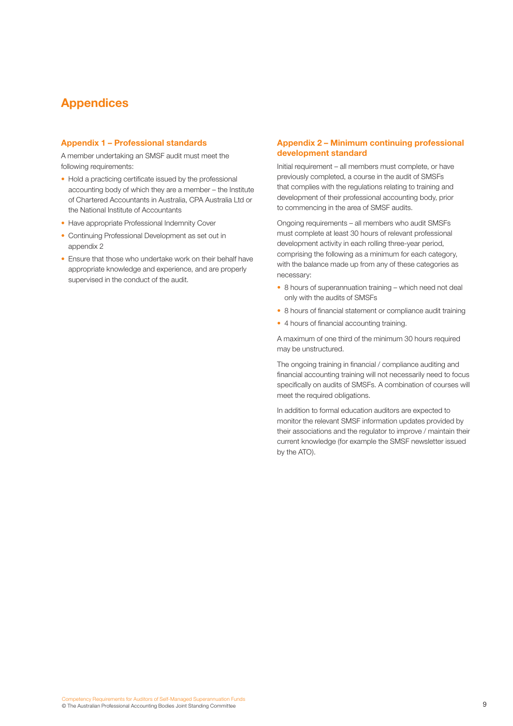## **Appendices**

#### **Appendix 1 – Professional standards**

A member undertaking an SMSF audit must meet the following requirements:

- Hold a practicing certificate issued by the professional accounting body of which they are a member – the Institute of Chartered Accountants in Australia, CPA Australia Ltd or the National Institute of Accountants
- Have appropriate Professional Indemnity Cover
- Continuing Professional Development as set out in appendix 2
- Ensure that those who undertake work on their behalf have appropriate knowledge and experience, and are properly supervised in the conduct of the audit.

#### **Appendix 2 – Minimum continuing professional development standard**

Initial requirement – all members must complete, or have previously completed, a course in the audit of SMSFs that complies with the regulations relating to training and development of their professional accounting body, prior to commencing in the area of SMSF audits.

Ongoing requirements – all members who audit SMSFs must complete at least 30 hours of relevant professional development activity in each rolling three-year period, comprising the following as a minimum for each category, with the balance made up from any of these categories as necessary:

- 8 hours of superannuation training which need not deal only with the audits of SMSFs
- 8 hours of financial statement or compliance audit training
- 4 hours of financial accounting training.

A maximum of one third of the minimum 30 hours required may be unstructured.

The ongoing training in financial / compliance auditing and financial accounting training will not necessarily need to focus specifically on audits of SMSFs. A combination of courses will meet the required obligations.

In addition to formal education auditors are expected to monitor the relevant SMSF information updates provided by their associations and the regulator to improve / maintain their current knowledge (for example the SMSF newsletter issued by the ATO).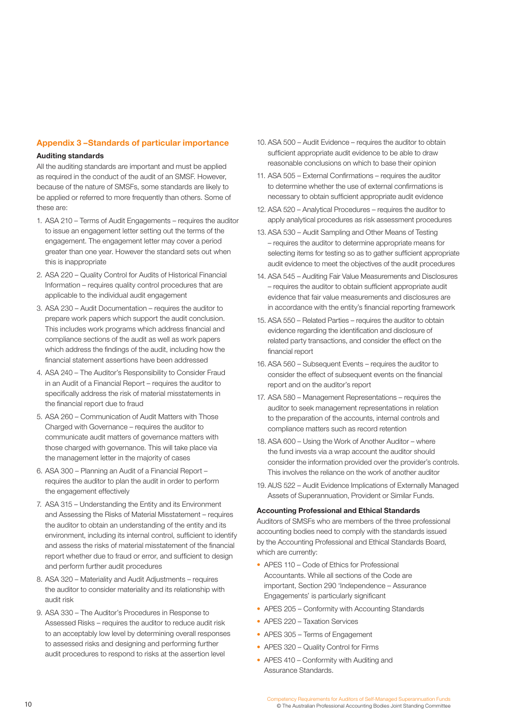### **Appendix 3 –Standards of particular importance**

#### **Auditing standards**

All the auditing standards are important and must be applied as required in the conduct of the audit of an SMSF. However, because of the nature of SMSFs, some standards are likely to be applied or referred to more frequently than others. Some of these are:

- 1. ASA 210 Terms of Audit Engagements requires the auditor to issue an engagement letter setting out the terms of the engagement. The engagement letter may cover a period greater than one year. However the standard sets out when this is inappropriate
- 2. ASA 220 Quality Control for Audits of Historical Financial Information – requires quality control procedures that are applicable to the individual audit engagement
- 3. ASA 230 Audit Documentation requires the auditor to prepare work papers which support the audit conclusion. This includes work programs which address financial and compliance sections of the audit as well as work papers which address the findings of the audit, including how the financial statement assertions have been addressed
- 4. ASA 240 The Auditor's Responsibility to Consider Fraud in an Audit of a Financial Report – requires the auditor to specifically address the risk of material misstatements in the financial report due to fraud
- 5. ASA 260 Communication of Audit Matters with Those Charged with Governance – requires the auditor to communicate audit matters of governance matters with those charged with governance. This will take place via the management letter in the majority of cases
- 6. ASA 300 Planning an Audit of a Financial Report requires the auditor to plan the audit in order to perform the engagement effectively
- 7. ASA 315 Understanding the Entity and its Environment and Assessing the Risks of Material Misstatement – requires the auditor to obtain an understanding of the entity and its environment, including its internal control, sufficient to identify and assess the risks of material misstatement of the financial report whether due to fraud or error, and sufficient to design and perform further audit procedures
- 8. ASA 320 Materiality and Audit Adjustments requires the auditor to consider materiality and its relationship with audit risk
- 9. ASA 330 The Auditor's Procedures in Response to Assessed Risks – requires the auditor to reduce audit risk to an acceptably low level by determining overall responses to assessed risks and designing and performing further audit procedures to respond to risks at the assertion level
- 10. ASA 500 Audit Evidence requires the auditor to obtain sufficient appropriate audit evidence to be able to draw reasonable conclusions on which to base their opinion
- 11. ASA 505 External Confirmations requires the auditor to determine whether the use of external confirmations is necessary to obtain sufficient appropriate audit evidence
- 12. ASA 520 Analytical Procedures requires the auditor to apply analytical procedures as risk assessment procedures
- 13. ASA 530 Audit Sampling and Other Means of Testing – requires the auditor to determine appropriate means for selecting items for testing so as to gather sufficient appropriate audit evidence to meet the objectives of the audit procedures
- 14. ASA 545 Auditing Fair Value Measurements and Disclosures – requires the auditor to obtain sufficient appropriate audit evidence that fair value measurements and disclosures are in accordance with the entity's financial reporting framework
- 15. ASA 550 Related Parties requires the auditor to obtain evidence regarding the identification and disclosure of related party transactions, and consider the effect on the financial report
- 16. ASA 560 Subsequent Events requires the auditor to consider the effect of subsequent events on the financial report and on the auditor's report
- 17. ASA 580 Management Representations requires the auditor to seek management representations in relation to the preparation of the accounts, internal controls and compliance matters such as record retention
- 18. ASA 600 Using the Work of Another Auditor where the fund invests via a wrap account the auditor should consider the information provided over the provider's controls. This involves the reliance on the work of another auditor
- 19. AUS 522 Audit Evidence Implications of Externally Managed Assets of Superannuation, Provident or Similar Funds.

#### **Accounting Professional and Ethical Standards**

Auditors of SMSFs who are members of the three professional accounting bodies need to comply with the standards issued by the Accounting Professional and Ethical Standards Board, which are currently:

- APES 110 Code of Ethics for Professional Accountants. While all sections of the Code are important, Section 290 'Independence – Assurance Engagements' is particularly significant
- APES 205 Conformity with Accounting Standards
- APES 220 Taxation Services
- APES 305 Terms of Engagement
- APES 320 Quality Control for Firms
- APES 410 Conformity with Auditing and Assurance Standards.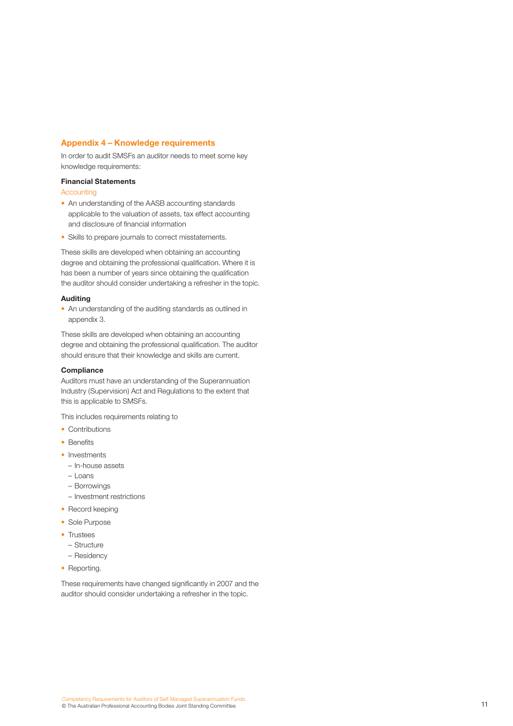#### **Appendix 4 – Knowledge requirements**

In order to audit SMSFs an auditor needs to meet some key knowledge requirements:

#### **Financial Statements**

**Accounting** 

- An understanding of the AASB accounting standards applicable to the valuation of assets, tax effect accounting and disclosure of financial information
- Skills to prepare journals to correct misstatements.

These skills are developed when obtaining an accounting degree and obtaining the professional qualification. Where it is has been a number of years since obtaining the qualification the auditor should consider undertaking a refresher in the topic.

#### **Auditing**

• An understanding of the auditing standards as outlined in appendix 3.

These skills are developed when obtaining an accounting degree and obtaining the professional qualification. The auditor should ensure that their knowledge and skills are current.

#### **Compliance**

Auditors must have an understanding of the Superannuation Industry (Supervision) Act and Regulations to the extent that this is applicable to SMSFs.

This includes requirements relating to

- Contributions
- Benefits
- Investments
- In-house assets
- Loans
- Borrowings
- Investment restrictions
- Record keeping
- Sole Purpose
- Trustees
	- Structure
	- Residency
- Reporting.

These requirements have changed significantly in 2007 and the auditor should consider undertaking a refresher in the topic.